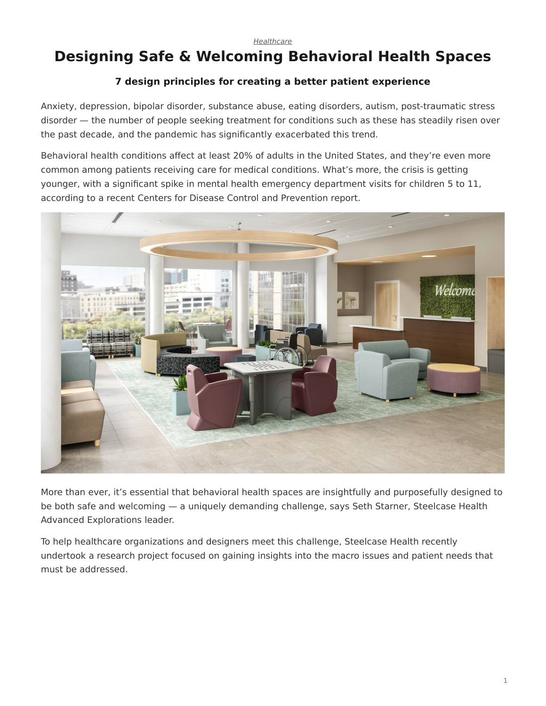# <span id="page-0-0"></span>**Designing Safe & Welcoming Behavioral Health Spaces**

## **7 design principles for creating a better patient experience**

Anxiety, depression, bipolar disorder, substance abuse, eating disorders, autism, post-traumatic stress disorder — the number of people seeking treatment for conditions such as these has steadily risen over the past decade, and the pandemic has significantly exacerbated this trend.

Behavioral health conditions affect at least 20% of adults in the United States, and they're even more common among patients receiving care for medical conditions. What's more, the crisis is getting younger, with a significant spike in mental health emergency department visits for children 5 to 11, according to a recent Centers for Disease Control and Prevention report.



More than ever, it's essential that behavioral health spaces are insightfully and purposefully designed to be both safe and welcoming — a uniquely demanding challenge, says Seth Starner, Steelcase Health Advanced Explorations leader.

To help healthcare organizations and designers meet this challenge, Steelcase Health recently undertook a research project focused on gaining insights into the macro issues and patient needs that must be addressed.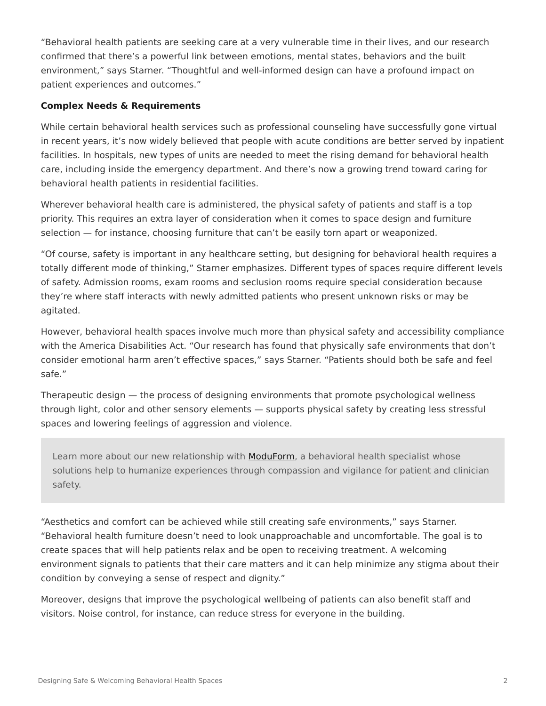"Behavioral health patients are seeking care at a very vulnerable time in their lives, and our research confirmed that there's a powerful link between emotions, mental states, behaviors and the built environment," says Starner. "Thoughtful and well-informed design can have a profound impact on patient experiences and outcomes."

## **Complex Needs & Requirements**

While certain behavioral health services such as professional counseling have successfully gone virtual in recent years, it's now widely believed that people with acute conditions are better served by inpatient facilities. In hospitals, new types of units are needed to meet the rising demand for behavioral health care, including inside the emergency department. And there's now a growing trend toward caring for behavioral health patients in residential facilities.

Wherever behavioral health care is administered, the physical safety of patients and staff is a top priority. This requires an extra layer of consideration when it comes to space design and furniture selection — for instance, choosing furniture that can't be easily torn apart or weaponized.

"Of course, safety is important in any healthcare setting, but designing for behavioral health requires a totally different mode of thinking," Starner emphasizes. Different types of spaces require different levels of safety. Admission rooms, exam rooms and seclusion rooms require special consideration because they're where staff interacts with newly admitted patients who present unknown risks or may be agitated.

However, behavioral health spaces involve much more than physical safety and accessibility compliance with the America Disabilities Act. "Our research has found that physically safe environments that don't consider emotional harm aren't effective spaces," says Starner. "Patients should both be safe and feel safe."

Therapeutic design — the process of designing environments that promote psychological wellness through light, color and other sensory elements — supports physical safety by creating less stressful spaces and lowering feelings of aggression and violence.

Learn more about our new relationship with [ModuForm,](https://www.steelcase.com/brands/partners/moduform/) a behavioral health specialist whose solutions help to humanize experiences through compassion and vigilance for patient and clinician safety.

"Aesthetics and comfort can be achieved while still creating safe environments," says Starner. "Behavioral health furniture doesn't need to look unapproachable and uncomfortable. The goal is to create spaces that will help patients relax and be open to receiving treatment. A welcoming environment signals to patients that their care matters and it can help minimize any stigma about their condition by conveying a sense of respect and dignity."

Moreover, designs that improve the psychological wellbeing of patients can also benefit staff and visitors. Noise control, for instance, can reduce stress for everyone in the building.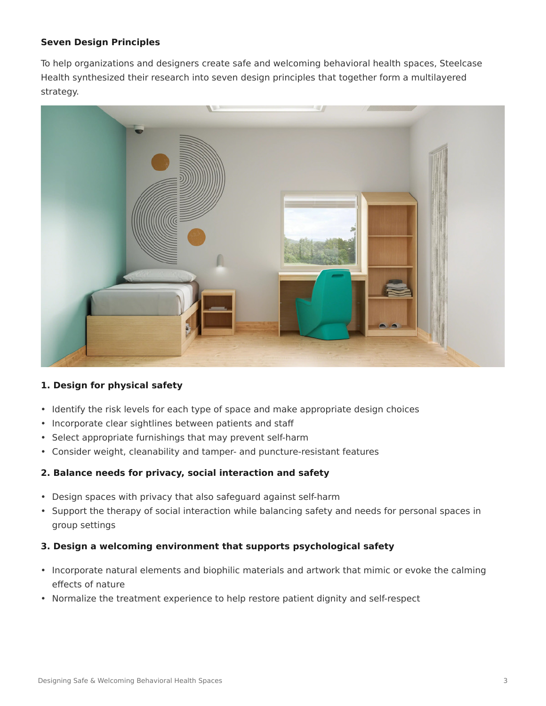## **Seven Design Principles**

To help organizations and designers create safe and welcoming behavioral health spaces, Steelcase Health synthesized their research into seven design principles that together form a multilayered strategy.



## **1. Design for physical safety**

- Identify the risk levels for each type of space and make appropriate design choices
- Incorporate clear sightlines between patients and staff
- Select appropriate furnishings that may prevent self-harm
- Consider weight, cleanability and tamper- and puncture-resistant features

## **2. Balance needs for privacy, social interaction and safety**

- Design spaces with privacy that also safeguard against self-harm
- Support the therapy of social interaction while balancing safety and needs for personal spaces in group settings

#### **3. Design a welcoming environment that supports psychological safety**

- Incorporate natural elements and biophilic materials and artwork that mimic or evoke the calming effects of nature
- Normalize the treatment experience to help restore patient dignity and self-respect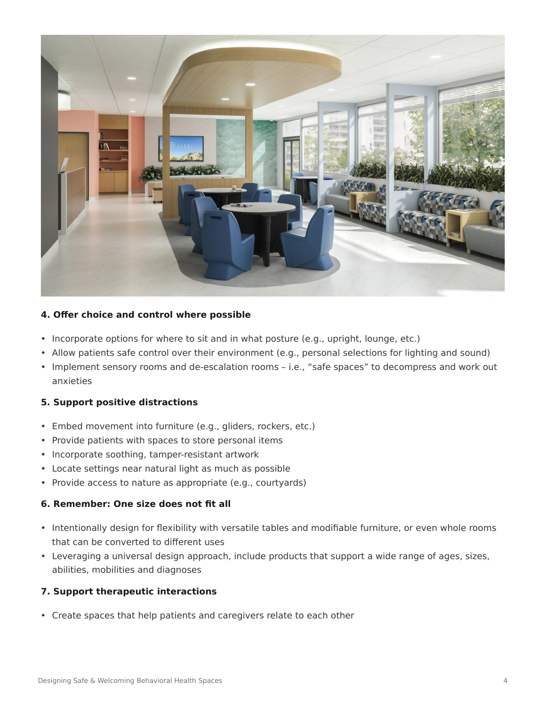

#### **4. Offer choice and control where possible**

- Incorporate options for where to sit and in what posture (e.g., upright, lounge, etc.)
- Allow patients safe control over their environment (e.g., personal selections for lighting and sound)
- Implement sensory rooms and de-escalation rooms i.e., "safe spaces" to decompress and work out anxieties

## **5. Support positive distractions**

- Embed movement into furniture (e.g., gliders, rockers, etc.)
- Provide patients with spaces to store personal items
- Incorporate soothing, tamper-resistant artwork
- Locate settings near natural light as much as possible
- Provide access to nature as appropriate (e.g., courtyards)

#### **6. Remember: One size does not fit all**

- Intentionally design for flexibility with versatile tables and modifiable furniture, or even whole rooms that can be converted to different uses
- Leveraging a universal design approach, include products that support a wide range of ages, sizes, abilities, mobilities and diagnoses

## **7. Support therapeutic interactions**

• Create spaces that help patients and caregivers relate to each other